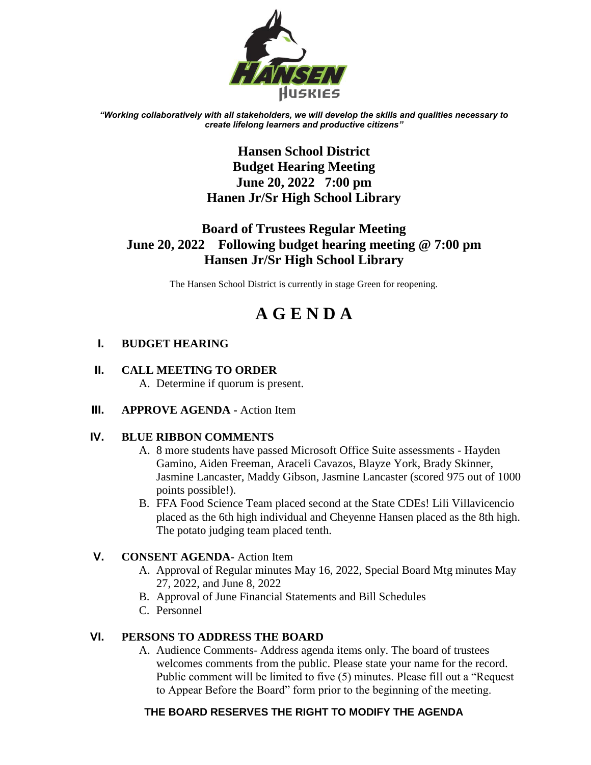

*"Working collaboratively with all stakeholders, we will develop the skills and qualities necessary to create lifelong learners and productive citizens"*

# **Hansen School District Budget Hearing Meeting June 20, 2022 7:00 pm Hanen Jr/Sr High School Library**

# **Board of Trustees Regular Meeting June 20, 2022 Following budget hearing meeting @ 7:00 pm Hansen Jr/Sr High School Library**

The Hansen School District is currently in stage Green for reopening.

# **A G E N D A**

## **I. BUDGET HEARING**

## **II. CALL MEETING TO ORDER**

A. Determine if quorum is present.

**III. APPROVE AGENDA -** Action Item

## **IV. BLUE RIBBON COMMENTS**

- A. 8 more students have passed Microsoft Office Suite assessments Hayden Gamino, Aiden Freeman, Araceli Cavazos, Blayze York, Brady Skinner, Jasmine Lancaster, Maddy Gibson, Jasmine Lancaster (scored 975 out of 1000 points possible!).
- B. FFA Food Science Team placed second at the State CDEs! Lili Villavicencio placed as the 6th high individual and Cheyenne Hansen placed as the 8th high. The potato judging team placed tenth.

## **V. CONSENT AGENDA-** Action Item

- A. Approval of Regular minutes May 16, 2022, Special Board Mtg minutes May 27, 2022, and June 8, 2022
- B. Approval of June Financial Statements and Bill Schedules
- C. Personnel

## **VI. PERSONS TO ADDRESS THE BOARD**

A. Audience Comments- Address agenda items only. The board of trustees welcomes comments from the public. Please state your name for the record. Public comment will be limited to five (5) minutes. Please fill out a "Request to Appear Before the Board" form prior to the beginning of the meeting.

## **THE BOARD RESERVES THE RIGHT TO MODIFY THE AGENDA**